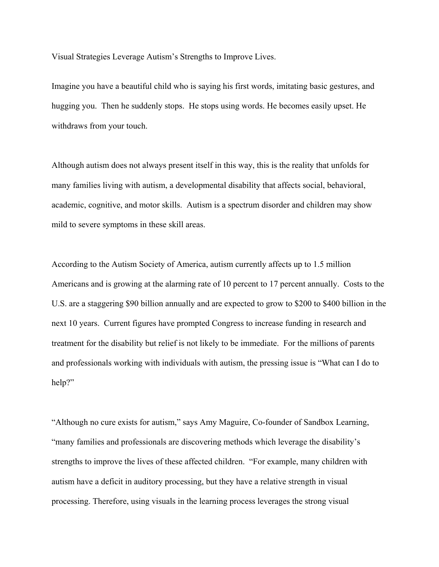Visual Strategies Leverage Autism's Strengths to Improve Lives.

Imagine you have a beautiful child who is saying his first words, imitating basic gestures, and hugging you. Then he suddenly stops. He stops using words. He becomes easily upset. He withdraws from your touch.

Although autism does not always present itself in this way, this is the reality that unfolds for many families living with autism, a developmental disability that affects social, behavioral, academic, cognitive, and motor skills. Autism is a spectrum disorder and children may show mild to severe symptoms in these skill areas.

According to the Autism Society of America, autism currently affects up to 1.5 million Americans and is growing at the alarming rate of 10 percent to 17 percent annually. Costs to the U.S. are a staggering \$90 billion annually and are expected to grow to \$200 to \$400 billion in the next 10 years. Current figures have prompted Congress to increase funding in research and treatment for the disability but relief is not likely to be immediate. For the millions of parents and professionals working with individuals with autism, the pressing issue is "What can I do to help?"

"Although no cure exists for autism," says Amy Maguire, Co-founder of Sandbox Learning, "many families and professionals are discovering methods which leverage the disability's strengths to improve the lives of these affected children. "For example, many children with autism have a deficit in auditory processing, but they have a relative strength in visual processing. Therefore, using visuals in the learning process leverages the strong visual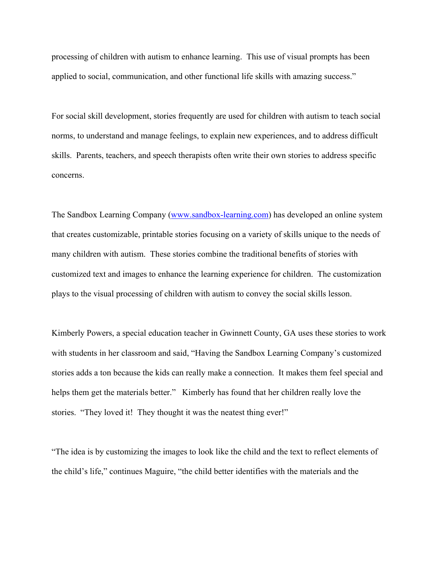processing of children with autism to enhance learning. This use of visual prompts has been applied to social, communication, and other functional life skills with amazing success."

For social skill development, stories frequently are used for children with autism to teach social norms, to understand and manage feelings, to explain new experiences, and to address difficult skills. Parents, teachers, and speech therapists often write their own stories to address specific concerns.

The Sandbox Learning Company (www.sandbox-learning.com) has developed an online system that creates customizable, printable stories focusing on a variety of skills unique to the needs of many children with autism. These stories combine the traditional benefits of stories with customized text and images to enhance the learning experience for children. The customization plays to the visual processing of children with autism to convey the social skills lesson.

Kimberly Powers, a special education teacher in Gwinnett County, GA uses these stories to work with students in her classroom and said, "Having the Sandbox Learning Company's customized stories adds a ton because the kids can really make a connection. It makes them feel special and helps them get the materials better." Kimberly has found that her children really love the stories. "They loved it! They thought it was the neatest thing ever!"

"The idea is by customizing the images to look like the child and the text to reflect elements of the child's life," continues Maguire, "the child better identifies with the materials and the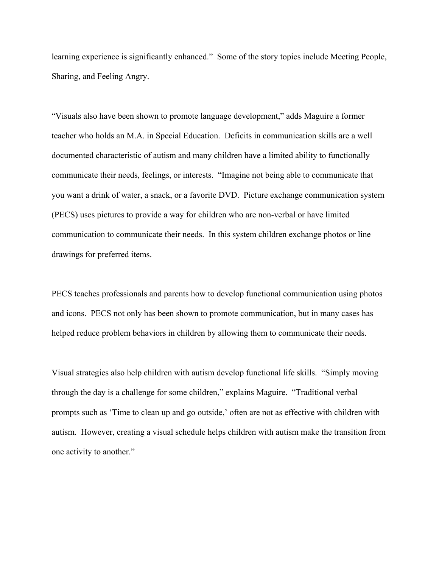learning experience is significantly enhanced." Some of the story topics include Meeting People, Sharing, and Feeling Angry.

"Visuals also have been shown to promote language development," adds Maguire a former teacher who holds an M.A. in Special Education. Deficits in communication skills are a well documented characteristic of autism and many children have a limited ability to functionally communicate their needs, feelings, or interests. "Imagine not being able to communicate that you want a drink of water, a snack, or a favorite DVD. Picture exchange communication system (PECS) uses pictures to provide a way for children who are non-verbal or have limited communication to communicate their needs. In this system children exchange photos or line drawings for preferred items.

PECS teaches professionals and parents how to develop functional communication using photos and icons. PECS not only has been shown to promote communication, but in many cases has helped reduce problem behaviors in children by allowing them to communicate their needs.

Visual strategies also help children with autism develop functional life skills. "Simply moving through the day is a challenge for some children," explains Maguire. "Traditional verbal prompts such as 'Time to clean up and go outside,' often are not as effective with children with autism. However, creating a visual schedule helps children with autism make the transition from one activity to another."